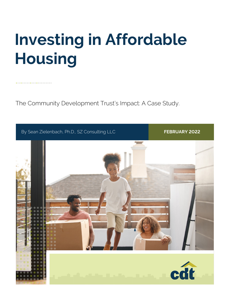# **Investing in Affordable Housing**

The Community Development Trust's Impact: A Case Study.

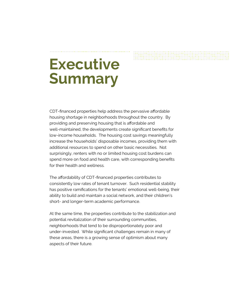# **Executive Summary**

CDT-financed properties help address the pervasive affordable housing shortage in neighborhoods throughout the country. By providing and preserving housing that is affordable and well-maintained, the developments create significant benefits for low-income households. The housing cost savings meaningfully increase the households' disposable incomes, providing them with additional resources to spend on other basic necessities. Not surprisingly, renters with no or limited housing cost burdens can spend more on food and health care, with corresponding benefits for their health and wellness.

The affordability of CDT-financed properties contributes to consistently low rates of tenant turnover. Such residential stability has positive ramifications for the tenants' emotional well-being, their ability to build and maintain a social network, and their children's short- and longer-term academic performance.

At the same time, the properties contribute to the stabilization and potential revitalization of their surrounding communities, neighborhoods that tend to be disproportionately poor and under-invested. While significant challenges remain in many of these areas, there is a growing sense of optimism about many aspects of their future.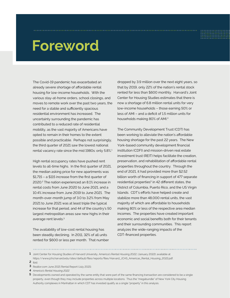# **Foreword**

The Covid-19 pandemic has exacerbated an already severe shortage of affordable rental housing for low-income households. With the various stay-at-home orders, school closings, and moves to remote work over the past two years, the need for a stable and sufficiently spacious residential environment has increased. The uncertainty surrounding the pandemic has contributed to a reduced rate of residential mobility, as the vast majority of Americans have opted to remain in their homes to the extent possible and practicable. Perhaps not surprisingly, the third quarter of 2021 saw the lowest national rental vacancy rate since the mid 1980s: only 5.8%.<sup>1</sup>

High rental occupancy rates have pushed rent levels to all-time highs. In the first quarter of 2021, the median asking price for new apartments was \$1,715 – a \$115 increase from the first quarter of 2020.2 The nation experienced an 8.1% increase in rental costs from June 2020 to June 2021, and a 10.4% increase from June 2019 to June 2021. The month-over-month jump of 3.0 to 3.2% from May 2021 to June 2021 was at least triple the typical increase for that period, and 44 of the country's 50 largest metropolitan areas saw new highs in their average rent levels.3

The availability of low-cost rental housing has been steadily declining. In 2011, 32% of all units rented for \$600 or less per month. That number dropped by 3.9 million over the next eight years, so that by 2019, only 22% of the nation's rental stock rented for less than \$600 monthly. Harvard's Joint Center for Housing Studies estimates that there is now a shortage of 6.8 million rental units for very low-income households – those earning 50% or less of AMI – and a deficit of 1.5 million units for households making 80% of AMI.4

The Community Development Trust (CDT) has been working to alleviate the nation's affordable housing shortage for the past 22 years. The New York-based community development financial institution (CDFI) and mission-driven real estate investment trust (REIT) helps facilitate the creation, preservation, and rehabilitation of affordable rental properties throughout the country. Through the end of 2021, it had provided more than \$2.52 billion worth of financing in support of 477 separate residential properties<sup>5</sup> in 42 different states, the District of Columbia, Puerto Rico, and the US Virgin Islands. CDT's efforts have helped create and stabilize more than 48,000 rental units, the vast majority of which are affordable to households making 80% or less of the respective area median incomes. The properties have created important economic and social benefits both for their tenants and their surrounding communities. This report analyzes the wide-ranging impacts of the CDT-financed properties.

**2** Ibid. **1** Joint Center for Housing Studies of Harvard University, America's Rental Housing 2022, (January 2022); available at https://www.jchs.harvard.edu/sites/default/files/reports/files/Harvard\_JCHS\_Americas\_Rental\_Housing\_2022.pdf.

- 
- **3** Realtor.com June 2021 Rental Report (July 2021).
- **4** *America's Rental Housing 2022.*

**<sup>5</sup>** Developments owned and operated by the same entity that were part of the same financing transaction are considered to be a single property, even though they may include properties across multiple locations. Thus the "megabundle" of New York City Housing Authority complexes in Manhattan in which CDT has invested qualify as a single "property" in this analysis.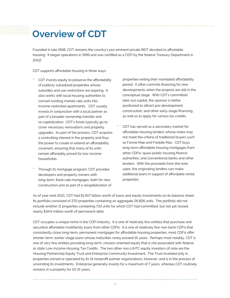### **Overview of CDT**

Founded in late 1998, CDT remains the country's pre-eminent private REIT devoted to affordable housing. It began operations in 1999 and was certified as a CDFI by the federal Treasury Department in 2002.

CDT supports affordable housing in three ways:

- CDT invests equity to preserve the affordability of publicly subsidized properties whose subsidies and use restrictions are expiring. It also works with local housing authorities to convert existing market-rate units into income-restricted apartments. CDT usually invests in conjunction with a local partner as part of a broader ownership transfer and re-capitalization. CDT's funds typically go to cover necessary renovations and property upgrades. As part of the process, CDT acquires a controlling interest in the property and thus the power to create or extend an affordability covenant, ensuring that many of its units remain affordably priced for low-income households.
- Through its mortgage program, CDT provides developers and property owners with long-term, fixed-rate mortgages, both for new construction and as part of a recapitalization of

properties exiting their mandated affordability period. It often commits financing for new developments when the projects are still in the conceptual stage. With CDT's committed take-out capital, the sponsor is better positioned to attract pre-development, construction, and other early-stage financing, as well as to apply for various tax credits.

• CDT has served as a secondary market for affordable housing lenders whose notes may not meet the criteria of traditional buyers such as Fannie Mae and Freddie Mac. CDT buys long-term affordable housing mortgages from other CDFIs, quasi-public housing finance authorities, and conventional banks and other lenders. With the proceeds from the note sales, the originating lenders can make additional loans in support of affordable rental properties.

As of year-end 2021, CDT had \$1.907 billion worth of loans and equity investments on its balance sheet. Its portfolio consisted of 270 properties containing an aggregate 26,826 units. The portfolio did not include another 11 properties containing 733 units for which CDT had committed, but not yet closed, nearly \$34.9 million worth of permanent debt.

CDT occupies a unique niche in the CDFI industry. It is one of relatively few entities that purchase and securitize affordable multifamily loans from other CDFIs. It is one of relatively few non-bank CDFIs that consistently close long-term, permanent mortgages for affordable housing properties; most CDFIs offer shorter-term, earlier-stage loans whose maturities rarely exceed 10 years. Perhaps most notably, CDT is one of very few entities providing long-term, mission-oriented equity that is not associated with federal or state Low-Income Housing Tax Credits. The two other non-LIHTC equity investors of note are the Housing Partnership Equity Trust and Enterprise Community Investment. The Trust invested only in properties owned or operated by its 14 nonprofit partner organizations, however, and is in the process of unwinding its investments. Enterprise generally invests for a maximum of 7 years, whereas CDT routinely remains in a property for 10-15 years.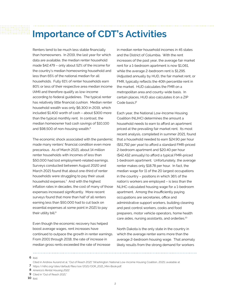### **Importance of CDT's Activities**

Renters tend to be much less stable financially than homeowners. In 2019, the last year for which data are available, the median renter household made \$42,479 – only about 52% of the income for the country's median homeowning household and less than 65% of the national median for all households. Fully 61% of renter households earn 80% or less of their respective area median income (AMI) and therefore qualify as low-income according to federal guidelines. The typical renter has relatively little financial cushion. Median renter household wealth was only \$6,300 in 2019, which included \$1,400 worth of cash – about \$300 more than the typical monthly rent. In contrast, the median homeowner had cash savings of \$10,100 and \$98,500 of non-housing wealth.<sup>6</sup>

The economic shock associated with the pandemic made many renters' financial condition even more precarious. As of March 2021, about 14 million renter households with incomes of less than \$50,000 had lost employment-related earnings. Surveys conducted between August 2020 and March 2021 found that about one-third of renter households were struggling to pay their usual household expenses.7 And with the highest inflation rates in decades, the cost of many of those expenses increased significantly. More recent surveys found that more than half of all renters earning less than \$50,000 had to cut back on essential expenses at some point in 2021 to pay their utility bill.<sup>8</sup>

Even though the economic recovery has helped boost average wages, rent increases have continued to outpace the growth in renter earnings. From 2001 through 2018, the rate of increase in median gross rents exceeded the rate of increase

in median renter household incomes in 45 states and the District of Columbia. With the rent increases of the past year, the average fair market rent for a 1-bedroom apartment is now \$1,061, while the average 2-bedroom rent is \$1,295. (Adjusted annually by HUD, the fair market rent, or FMR, typically reflects the 40th percentile rent in the market. HUD calculates the FMR on a metropolitan area and county-wide basis. In certain places, HUD also calculates it on a ZIP Code basis.)9

Each year, the National Low-Income Housing Coalition (NLIHC) determines the amount a household needs to earn to afford an apartment priced at the prevailing fair market rent. Its most recent analysis, completed in summer 2021, found that a household needed to earn \$24.90 per hour (\$51,792 per year) to afford a standard FMR-priced 2-bedroom apartment and \$20.40 per hour (\$42,432 annually) to afford a typical FMR-priced 1-bedroom apartment. Unfortunately, the average renter makes only \$18.78 per hour. In fact, the median wage for 11 of the 20 largest occupations in the country – positions in which 36% of the nation's workers are employed – is less than the NLIHC-calculated housing wage for a 1-bedroom apartment. Among the insufficiently paying occupations are secretaries, office and administrative support workers, building cleaning and pest control workers, cooks and food preparers, motor vehicle operators, home health care aides, nursing assistants, and orderlies.10

North Dakota is the only state in the country in which the average renter earns more than the average 2-bedroom housing wage. That anomaly likely results from the strong demand for workers

**6** Ibid.

- **8** *America's Rental Housing 2022.*
- **9** Cited in "Out of Reach 2021."
- **10** Ibid.

**<sup>7</sup>** https://nlihc.org/sites/default/files/oor/2021/OOR\_2021\_Mini-Book.pdf. Cited in Andrew Aurand et al, "Out of Reach 2021" (Washington: National Low-Income Housing Coalition, 2021); available at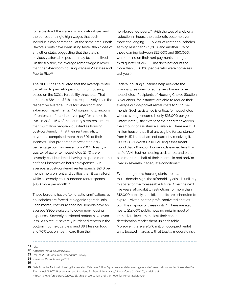to help extract the state's oil and natural gas, and the correspondingly high wages that such individuals can command. At the same time, North Dakota's rents have been rising faster than those of any other state, suggesting that the state's enviously affordable position may be short-lived. On the flip side, the average renter wage is lower than the 1-bedroom housing wage in 26 states and Puerto Rico.<sup>11</sup>

The NLIHC has calculated that the average renter can afford to pay \$977 per month for housing, based on the 30% affordability threshold. That amount is \$84 and \$318 less, respectively, than the respective average FMRs for 1-bedroom and 2-bedroom apartments. Not surprisingly, millions of renters are forced to "over-pay" for a place to live. In 2021, 46% of the country's renters – more than 20 million people – qualified as housing cost-burdened, in that their rent and utility payments comprised more than 30% of their incomes. That proportion represented a six percentage point increase from 2001. Nearly a quarter of all renter households (24%) were severely cost burdened, having to spend more than half their incomes on housing expenses. On average, a cost-burdened renter spends \$240 per month more on rent and utilities than it can afford, while a severely cost-burdened renter spends \$850 more per month.<sup>12</sup>

These burdens have often drastic ramifications as households are forced into agonizing trade-offs. Each month, cost-burdened households have an average \$360 available to cover non-housing expenses. Severely burdened renters have even less. As a result, severely burdened renters in the bottom income quartile spend 38% less on food and 70% less on health care than their

non-burdened peers.<sup>13</sup> With the loss of a job or a reduction in hours, the trade-offs become even more challenging. Fully 23% of renter households earning less than \$25,000, and another 15% of those earning between \$25,000 and \$50,000, were behind on their rent payments during the third quarter of 2021. That does not count the more than 580,000 people who were homeless last year.<sup>14</sup>

Federal housing subsidies help alleviate the financial pressures for some very low-income households. Recipients of Housing Choice (Section 8) vouchers, for instance, are able to reduce their average out-of-pocket rental costs to \$355 per month. Such assistance is critical for households whose average income is only \$15,000 per year. Unfortunately, the extent of the need far exceeds the amount of assistance available. There are 13.3 million households that are eligible for assistance from HUD but that are not currently receiving it. HUD's 2021 Worst Case Housing assessment found that 7.8 million households earned less than half of AMI, had no housing assistance, and either paid more than half of their income in rent and/or lived in severely inadequate conditions.15

Even though new housing starts are at a multi-decade high, the affordability crisis is unlikely to abate for the foreseeable future. Over the next five years, affordability restrictions for more than 312,000 publicly subsidized units are scheduled to expire. Private-sector, profit-motivated entities own the majority of these units.<sup>16</sup> There are also nearly 212,000 public housing units in need of immediate investment, lest their continued deterioration render them uninhabitable. Moreover, there are 17.6 million occupied rental units located in areas with at least a moderate risk

#### **11** Ibid.

- **12** *America's Rental Housing 2022.*
- **13** Per the 2020 Consumer Expenditure Survey.
- **14** *America's Rental Housing 2022.*
- **15** Ibid.

Data from the National Housing Preservation Database (https://preservationdatabase.org/reports/preservation-profiles/); see also Dan **16** Emmanuel, "LIHTC Preservation and the Need for Rental Assistance," Shelterforce (11/18/20), available at https://shelterforce.org/2020/11/18/lihtc-preservation-and-the-need-for-rental-assistance/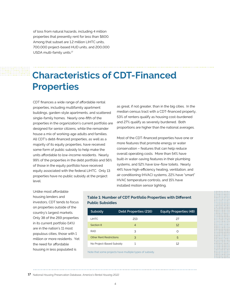of loss from natural hazards, including 4 million properties that presently rent for less than \$600. Among that subset are 1.2 million LIHTC units, 700,000 project-based HUD units, and 200,000 USDA multi-family units.<sup>17</sup>

## **Characteristics of CDT-Financed Properties**

CDT finances a wide range of affordable rental properties, including multifamily apartment buildings, garden-style apartments, and scattered single-family homes. Nearly one-fifth of the properties in the organization's current portfolio are designed for senior citizens, while the remainder house a mix of working-age adults and families. All CDT's debt-financed properties, as well as a majority of its equity properties, have received some form of public subsidy to help make the units affordable to low-income residents. Nearly 99% of the properties in the debt portfolio and 56% of those in the equity portfolio have received equity associated with the federal LIHTC. Only 13 properties have no public subsidy at the project level.

as great, if not greater, than in the big cities. In the median census tract with a CDT-financed property, 53% of renters qualify as housing cost-burdened and 27% qualify as severely burdened. Both proportions are higher than the national averages.

Most of the CDT-financed properties have one or more features that promote energy or water conservation – features that can help reduce overall operating costs. More than 54% have built-in water-saving features in their plumbing systems, and 52% have low-flow toilets. Nearly 44% have high-efficiency heating, ventilation, and air conditioning (HVAC) systems, 22% have "smart" HVAC temperature controls, and 15% have installed motion sensor lighting.

Unlike most affordable housing lenders and investors, CDT tends to focus on properties outside of the country's largest markets. Only 38 of the 269 properties in its current portfolio (14%) are in the nation's 11 most populous cities, those with 1 million or more residents. Yet the need for affordable housing in less populated is

#### **Table 1: Number of CDT Portfolio Properties with Different Public Subsidies**

| Subsidy                                                                                                                                                                                                                        | Debt Properties (216)                                                                                           | <b>Equity Properties (48)</b> |
|--------------------------------------------------------------------------------------------------------------------------------------------------------------------------------------------------------------------------------|-----------------------------------------------------------------------------------------------------------------|-------------------------------|
| <b>LIHTC</b>                                                                                                                                                                                                                   | 213                                                                                                             | 27                            |
| Section 8                                                                                                                                                                                                                      | $\overline{4}$                                                                                                  | 12                            |
| <b>RAD</b>                                                                                                                                                                                                                     | 3                                                                                                               | Ω                             |
| <b>Other Rent Restrictions</b>                                                                                                                                                                                                 | З                                                                                                               | 5                             |
| No Project-Based Subsidy                                                                                                                                                                                                       | 1                                                                                                               | 12                            |
| the state of the state of the state of the state of the state of the state of the state of the state of the state of the state of the state of the state of the state of the state of the state of the state of the state of t | the contract of the contract of the contract of the contract of the contract of the contract of the contract of |                               |

Note that some projects have multiple types of subsidy.

**17** National Housing Preservation Database, *America's Rental Housing 2022.*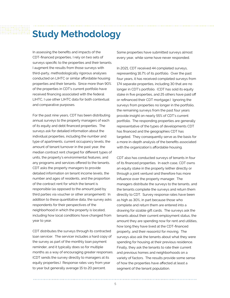## **Study Methodology**

In assessing the benefits and impacts of the CDT-financed properties, I rely on two sets of surveys specific to the properties and their tenants. I augment the results from those surveys with third-party, methodologically rigorous analyses conducted on LIHTC or similar affordable housing properties and their tenants. Since more than 90% of the properties in CDT's current portfolio have received financing associated with the federal LIHTC, I use other LIHTC data for both contextual and comparative purposes.

For the past nine years, CDT has been distributing annual surveys to the property managers of each of its equity and debt financed properties. The surveys ask for detailed information about the individual properties, including the number and type of apartments, current occupancy levels, the amount of tenant turnover in the past year, the median contract rent charged for different types of units, the property's environmental features, and any programs and services offered to the tenants. CDT asks the property managers to provide detailed information on tenant income levels, the number and ages of residents, and the proportion of the contract rent for which the tenant is responsible (as opposed to the amount paid by third parties via voucher or other arrangement). In addition to these quantitative data, the survey asks respondents for their perspectives of the neighborhood in which the property is located, including how local conditions have changed from year to year.

CDT distributes the surveys through its contracted loan servicer. The servicer includes a hard copy of the survey as part of the monthly loan payment reminder, and it typically does so for multiple months as a way of encouraging greater responses. (CDT sends the survey directly to managers at its equity properties.) Response rates vary from year to year but generally average 15 to 20 percent.

Some properties have submitted surveys almost every year, while some have never responded.

In 2021, CDT received 44 completed surveys, representing 16.7% of its portfolio. Over the past four years, it has received completed surveys from 174 separate properties, including 30 that are no longer in CDT's portfolio. (CDT has sold its equity stake in five properties, and 25 others have paid off or refinanced their CDT mortgage.) Ignoring the surveys from properties no longer in the portfolio, the remaining surveys from the past four years provide insight on nearly 55% of CDT's current portfolio. The responding properties are generally representative of the types of developments CDT has financed and the geographies CDT has targeted. They consequently serve as the basis for a more in-depth analysis of the benefits associated with the organization's affordable housing.

CDT also has conducted surveys of tenants in four of its financed properties. In each case, CDT owns an equity stake in the property (either directly or through a joint venture) and therefore has more influence over the property manager. The managers distribute the surveys to the tenants, and the tenants complete the surveys and return them directly to CDT. Survey response rates have been as high as 30%, in part because those who complete and return them are entered into a drawing for sizable gift cards. The surveys ask the tenants about their current employment status, the amount they are spending now for rent and utilities, how long they have lived at the CDT-financed property, and their reason(s) for moving. The surveys also ask the tenants about what they were spending for housing at their previous residence. Finally, they ask the tenants to rate their current and previous homes and neighborhoods on a variety of factors. The results provide some sense of how the properties have affected at least a segment of the tenant population.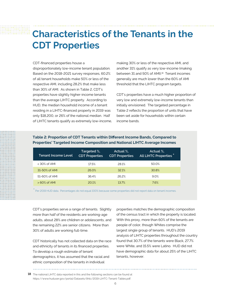## **Characteristics of the Tenants in the CDT Properties**

#### CDT-financed properties house a

disproportionately low-income tenant population. Based on the 2018-2021 survey responses, 60.2% of all tenant households make 50% or less of the respective AMI, including 28.2% that make less than 30% of AMI. As shown in Table 2, CDT's properties have slightly higher-income tenants than the average LIHTC property. According to HUD, the median household income of a tenant residing in a LIHTC-financed property in 2019 was only \$18,200, or 26% of the national median. Half of LIHTC tenants qualify as extremely low-income, making 30% or less of the respective AMI, and another 31% qualify as very low-income (making between 31 and 50% of AMI).<sup>18</sup> Tenant incomes generally are much lower than the 60% of AMI threshold that the LIHTC program targets.

CDT's properties have a much higher proportion of very low and extremely low-income tenants than initially envisioned. The targeted percentage in Table 2 reflects the proportion of units that have been set aside for households within certain income bands.

### **Table 2: Proportion of CDT Tenants within Different Income Bands, Compared to Properties' Targeted Income Composition and National LIHTC Average Incomes**

| <b>Tenant Income Level</b> | Targeted %,<br><b>CDT Properties</b> | Actual %.<br><b>CDT Properties</b> | Actual %,<br>All LIHTC Properties * |
|----------------------------|--------------------------------------|------------------------------------|-------------------------------------|
| $<$ 30% of AMI             | 17.5%                                | 28.1%                              | 50.0%                               |
| 31-50% of AMI              | 26.0%                                | 32.1%                              | 30.8%                               |
| 51-60% of AMI              | 36.4%                                | 26.2%                              | 9.0%                                |
| $>60\%$ of AMI             | 20.1%                                | 13.7%                              | 7.6%                                |

\* Per 2019 HUD data. Percentages do not equal 100% because some properties did not report data on tenant incomes.

CDT's properties serve a range of tenants. Slightly more than half of the residents are working-age adults, about 28% are children or adolescents, and the remaining 22% are senior citizens. More than 30% of adults are working full-time.

CDT historically has not collected data on the race and ethnicity of tenants in its financed properties. To develop a rough estimate of tenant demographics, it has assumed that the racial and ethnic composition of the tenants in individual

properties matches the demographic composition of the census tract in which the property is located. With this proxy, more than 60% of the tenants are people of color, though Whites comprise the largest single group of tenants. HUD's 2019 analysis of LIHTC properties throughout the country found that 30.7% of the tenants were Black, 27.7% were White, and 15.5% were Latino. HUD did not have demographic data for about 25% of the LIHTC tenants, however.

The national LIHTC data reported in this and the following sections can be found at **18** https://www.huduser.gov/portal/Datasets/lihtc/2019-LIHTC-Tenant-Tables.pdf.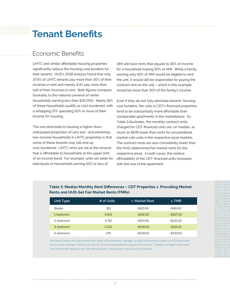### **Tenant Benefits**

### Economic Benefits

LIHTC and similar affordable housing properties significantly reduce the housing cost burdens for their tenants. HUD's 2019 analysis found that only 37.6% of LIHTC tenants pay more than 30% of their incomes in rent and merely 9.4% pay more than half of their incomes in rent. Both figures compare favorably to the national universe of renter households earning less than \$30,000. Nearly 81% of these households qualify as cost-burdened, with a whopping 57% spending 50% or more of their income for housing.

The one downside to housing a higher-thananticipated proportion of very low- and extremely low-income households in LIHTC properties is that some of these tenants may still end up cost-burdened. LIHTC rents are set at the amount that is affordable to households at the upper limit of an income band. For example, units set aside for individuals or households earning 50% or less of

AMI will have rents that equate to 30% of income for a household making 50% of AMI. While a family earning only 40% of AMI would be eligible to rent the unit, it would still be responsible for paying the contract rent on the unit – which in this example would be more than 30% of the family's income.

Even if they do not fully eliminate tenants' housing cost burdens, the units in CDT's financed properties tend to be substantially more affordable than comparable apartments in the marketplace. As Table 3 illustrates, the monthly contract rents charged for CDT-financed units are, on median, as much as \$539 lower than rents for unsubsidized, market-rate units in the respective local markets. The contract rents are also consistently lower than the HUD-determined fair market rents for the respective areas. In both cases, the relative affordability of the CDT-financed units increases with the size of the apartment.

| Unit Type | # of Units | v. Market Rent | v. FMR       |  |
|-----------|------------|----------------|--------------|--|
| Studio    | 351        | $+$ \$20.00    | $-$ \$49.00  |  |
| 1-bedroom | 6.831      | $-$156.50$     | $-$187.00$   |  |
| 2-bedroom | 5.716      | $-$ \$214.50   | $-$ \$221.00 |  |
| 3-bedroom | 2.222      | $-$ \$426.50   | $-$ \$314.25 |  |
| 4-bedroom | 276        | $-$ \$539.50   | $-$433.50$   |  |

### **Table 3: Median Monthly Rent Differences – CDT Properties v. Prevailing Market Rents and HUD-Set Fair Market Rents (FMRs)**

Prevailing market rent data came from either a) the property manager as part of the annual survey or b) Zumper.com, which tracks average rents by unit size for most municipalities throughout the country. Zumper averages were taken from November figures in the year the property's most recent survey was completed.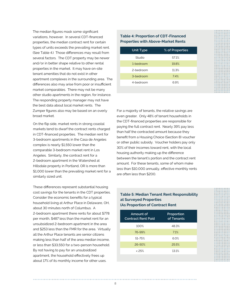The median figures mask some significant variations, however. In several CDT-financed properties, the median contract rent for certain types of units exceeds the prevailing market rent. (See Table 4.) Those differences may result from several factors. The CDT property may be newer and/or in better shape relative to other rental properties in the market. It may have on-site tenant amenities that do not exist in other apartment complexes in the surrounding area. The differences also may arise from poor or insufficient market comparables. There may not be many other studio apartments in the region, for instance. The responding property manager may not have the best data about local market rents. The Zumper figures also may be based on an overly broad market.

On the flip side, market rents in strong coastal markets tend to dwarf the contract rents charged in CDT-financed properties. The median rent for 3-bedroom apartments in the Casa de Angeles complex is nearly \$1,550 lower than the comparable 3-bedroom market rent in Los Angeles. Similarly, the contract rent for a 2-bedroom apartment in the Watershed at Hillsdale property in Portland, OR is more than \$1,000 lower than the prevailing market rent for a similarly sized unit.

These differences represent substantial housing cost savings for the tenants in the CDT properties. Consider the economic benefits for a typical household living at Arthur Place in Delaware, OH, about 30 minutes north of Columbus. A 2-bedroom apartment there rents for about \$778 per month, \$487 less than the market rent for an unsubsidized 2-bedroom apartment in the area and \$253 less than the FMR for the area. Virtually all the Arthur Place tenants are senior citizens making less than half of the area median income, or less than \$33,550 for a two-person household. By not having to pay for an unsubsidized apartment, the household effectively frees up about 17% of its monthly income for other uses.

#### **Table 4: Proportion of CDT-Financed Properties with Above-Market Rents**

| Unit Type | % of Properties |
|-----------|-----------------|
| Studio    | 57.1%           |
| 1-bedroom | 19.8%           |
| 2-bedroom | 11.3%           |
| 3-bedroom | 74%             |
| 4-bedroom | 6.9%            |
|           |                 |

For a majority of tenants, the relative savings are even greater. Only 48% of tenant households in the CDT-financed properties are responsible for paying the full contract rent. Nearly 39% pay less than half the contracted amount because they benefit from a Housing Choice (Section 8) voucher or other public subsidy. Voucher holders pay only 30% of their incomes toward rent, with the local housing authority making up the difference between the tenant's portion and the contract rent amount. For these tenants, some of whom make less than \$10,000 annually, effective monthly rents are often less than \$200.

#### **Table 5: Median Tenant Rent Responsibility at Surveyed Properties (As Proportion of Contract Rent**

| Amount of<br><b>Contract Rent Paid</b> | Proportion<br>of Tenants |  |
|----------------------------------------|--------------------------|--|
| 100%                                   | 48.3%                    |  |
| 76-99%                                 | 7.1%                     |  |
| 51-75%                                 | 6.0%                     |  |
| 26-50%                                 | 25.5%                    |  |
| & 25%                                  | 13.1%                    |  |
|                                        |                          |  |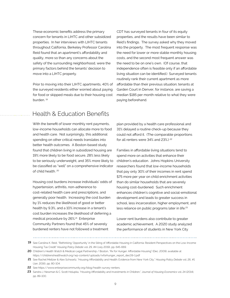These economic benefits address the primary concern for tenants in LIHTC and other subsidized properties. In her interviews with LIHTC tenants throughout California, Berkeley Professor Carolina Reid found that an apartment's affordability and quality, more so than any concerns about the safety of the surrounding neighborhood, were the primary factors behind the tenants' decision to move into a LIHTC property.

Prior to moving into their LIHTC apartments, 40% of the surveyed residents either worried about paying for food or skipped meals due to their housing cost burden. 19

Health & Education Benefits

With the benefit of lower monthly rent payments, low-income households can allocate more to food and health care. Not surprisingly, this additional spending on other critical needs translates into better health outcomes. A Boston-based study found that children living in subsidized housing are 19% more likely to be food secure, 28% less likely to be seriously underweight, and 35% more likely to be classified as "well" on a comprehensive indicator of child health. 20

Housing cost burdens increase individuals' odds of hypertension, arthritis, non-adherence to cost-related health care and prescriptions, and generally poor health. Increasing the cost burden by 1% reduces the likelihood of good or better health by 9.3%, and a 10% increase in a tenant's cost burden increases the likelihood of deferring a medical procedure by 26%.<sup>21</sup> Enterprise Community Partners found that 45% of severely burdened renters have not followed a treatment

CDT has surveyed tenants in four of its equity properties, and the results have been similar to Reid's findings. The survey asked why they moved into the property. The most frequent response was the need for lower or more stable monthly housing costs, and the second most frequent answer was the need to be on one's own. (Of course, that independence often is feasible only if an affordable living situation can be identified.) Surveyed tenants routinely rank their current apartment as more affordable than their previous situation; tenants at Garden Court in Denver, for instance, are saving a median \$185 per month relative to what they were paying beforehand.

plan provided by a health care professional and 31% delayed a routine check-up because they could not afford it. (The comparable proportions for all renters were 34% and 23%.) <sup>22</sup>

Families in affordable living situations tend to spend more on activities that enhance their children's education. Johns Hopkins University researchers found that low-income households that pay only 30% of their incomes in rent spend \$75 more per year on child enrichment activities than do similar households that are severely housing cost-burdened. Such enrichment enhances children's cognitive and social-emotional development and leads to greater success in school, less incarceration, higher employment, and less reliance on public programs later in life.23

Lower rent burdens also contribute to greater academic achievement. A 2020 study analyzed the performance of students in New York City

**<sup>19</sup>** See Carolina K. Reid, "Rethinking 'Opportunity' in the Siting of Affordable Housing in California: Resident Perspectives on the Low-Income Housing Tax Credit" *Housing Policy Debate* vol. 29, #4 (July 2019), pp. 645-669.

**<sup>20</sup>** Children's Health Watch & Medical-Legal Partnership / Boston, "Rx for Hunger: Affordable Housing" (Dec. 2009); available at https://childrenshealthwatch.org/wp-content/uploads/rxforhunger\_report\_dec09-1.pdf

**<sup>21</sup>** See Rachel Meltzer & Alex Schwartz, "Housing Affordability and Health: Evidence from New York City," *Housing Policy Debate* vol. 26, #1 (Jan. 2016), pp. 80-104.

<sup>22</sup> See https://www.enterprisecommunity.org/blog/health-survey-renters.

<sup>23</sup> Sandra J. Newman & C. Scott Holupka, "Housing Affordability and Investments in Children," Journal of Housing Economics vol. 24 (2014), pp. 89-100.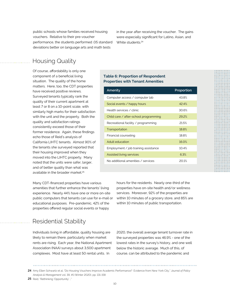public schools whose families received housing vouchers. Relative to their pre-voucher performance, the students performed .05 standard deviations better on language arts and math tests

in the year after receiving the voucher. The gains were especially significant for Latino, Asian, and White students.<sup>24</sup>

### Housing Quality

Of course, affordability is only one component of a beneficial living situation. The quality of the home matters. Here, too, the CDT properties have received positive reviews. Surveyed tenants typically rank the quality of their current apartment at least 7 or 8 on a 10-point scale, with similarly high marks for their satisfaction with the unit and the property. Both the quality and satisfaction ratings consistently exceed those of their former residence. Again, these findings echo those of Reid's analysis of California LIHTC tenants. Almost 90% of the tenants she surveyed reported that their housing improved when they moved into the LIHTC property. Many noted that the units were safer, larger, and of better quality than what was available in the broader market.<sup>25</sup>

Many CDT-financed properties have various amenities that further enhance the tenants' living experience. Nearly 44% have one or more on-site public computers that tenants can use for e-mail or educational purposes. Pre-pandemic, 42% of the properties offered regular social events or happy

### Residential Stability

Individuals living in affordable, quality housing are likely to remain there, particularly when market rents are rising. Each year, the National Apartment Association (NAA) surveys about 3,500 apartment complexes. Most have at least 50 rental units. In

#### **Table 6: Proportion of Respondent Properties with Tenant Amenities**

| Amenity                                     | Proportion |
|---------------------------------------------|------------|
| Computer access / computer lab              | 43.8%      |
| Social events / happy hours                 | 424%       |
| Health services / clinic                    | 30.6%      |
| Child care / after-school programming       | 29.2%      |
| Recreational facility $\angle$ programming  | 21.5%      |
| Transportation                              | 18.8%      |
| Financial counseling                        | 18.8%      |
| Adult education                             | 16.0%      |
| Employment $\angle$ job training assistance | 10.4%      |
| <b>Assisted living services</b>             | 6.3%       |
| No additional amenities / services          | 20.1%      |
|                                             |            |

hours for the residents. Nearly one-third of the properties have on-site health and/or wellness services. Moreover, 92% of the properties are within 10 minutes of a grocery store, and 85% are within 10 minutes of public transportation.

2020, the overall average tenant turnover rate in the surveyed properties was 46.9% - one of the lowest rates in the survey's history, and one well below the historic average. Much of this, of course, can be attributed to the pandemic and

25 Reid, "Rethinking 'Opportunity' ..."

Amy Ellen Schwartz et al, "Do Housing Vouchers Improve Academic Performance? Evidence from New York City," *Journal of Policy*  **24** *Analysis & Management* vol. 39, #1 (Winter 2020), pp. 131-158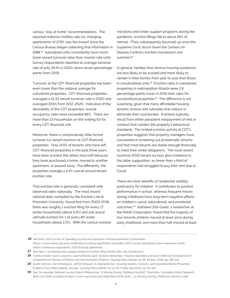various "stay at home" recommendations. The reported national mobility rate (i.e. changing apartments) of 17.8% was the lowest since the Census Bureau began collecting that information in 1988.26 Subsidized units consistently have much lower tenant turnover rates than market-rate units. Survey respondents reported an average turnover rate of only 19.4% in 2020, down seven percentage points from 2019.

Turnover at the CDT-financed properties has been even lower than the national average for subsidized properties. CDT-financed properties averaged a 15.3% tenant turnover rate in 2020 and averaged 19.9% from 2017-2020. Indicative of the desirability of the CDT properties, overall occupancy rates have exceeded 96%. There are more than 1.5 households on the waiting list for every CDT-financed unit.

Moreover, there is comparatively little forced turnover (i.e. tenant eviction) at CDT-financed properties. Only 14.5% of tenants who have left CDT-financed properties in the past three years have been evicted; the others have left because they have purchased a home, moved to another apartment, or passed away. Put differently, the properties average a 2.4% overall annual tenant eviction rate.

That eviction rate is generally consistent with observed rates nationally. The most recent national data, compiled by the Eviction Lab at Princeton University, found that from 2000-2016, there was roughly 1 eviction filing for every 17 renter households (about 5.9%) and one actual ultimate eviction for 1 of every 40 renter households (about 2.5%). With the various eviction

moratoria and renter support programs during the pandemic, eviction filings fell to about 49% of normal. (They subsequently bounced up once the Supreme Court struck down the Centers on Disease Control's eviction moratorium last summer.)<sup>27</sup>

In general, families that receive housing assistance are less likely to be evicted and more likely to remain in their homes from year to year than those in unsubsidized units.28 Eviction rates in subsidized properties in metropolitan Atlanta were 2.8 percentage points lower in 2016 than rates for unsubsidized properties.29 The difference is not surprising, given that many affordable housing tenants receive rent subsidies that reduce or eliminate their cost burden. Evictions typically result from either persistent nonpayment of rent or conduct that violates the property's behavioral standards. The limited eviction activity at CDT's properties suggests that property managers have succeeded in screening out problematic tenants and that most tenants are stable enough financially to meet their rental obligations. The most recent (summer 2021) tenant surveys give credence to the latter supposition, as fewer than a third of respondents had struggled to pay their rent due to Covid.

There are clear benefits of residential stability, particularly for children. It contributes to positive performance in school, whereas frequent moves during childhood have long-term negative effects on children's social, educational, and emotional outcomes.30 Kathleen Ziol-Guest, a researcher at the RAND Corporation, found that the majority of low-income children moved at least once during early childhood, and more than half moved at least

**<sup>26</sup>** See NAA's 2021 Survey of Operating Income and Expenses in Rental Apartment Communities (https://www.naahq.org/news-publications/national-apartment-association-2021-survey-operating-income-expenses-rental), which is based on respondents' 2020 financial statements.

**<sup>27</sup>** See https://evictionlab.org/updates/research/eviction-filing-trends-after-cdc-moratorium/

**<sup>28</sup>** Yumiko Aratani, Sarah Lazzeroni, Jeanne Brooks-Gunn, & Diana Hernandez, "Housing Subsidies and Early Childhood Development: A Comprehensive Review of Policies and Demonstration Projects," *Housing Policy Debate* vol. 29, #2 (Mar. 2019), pp. 319-342.

<sup>29</sup> Austin Harrison, Dan Immergluck, Jeff Ernsthausen, & Stephanie Earl, "Housing Stability, Evictions, and Subsidized Rental Properties: Evidence from Metro Atlanta, Georgia," *Housing Policy Debate* vol. 31, #3-5 (May-Sep 2021), pp. 411-424

<sup>30</sup> See, for example, Rebekah Levine Coley & Melissa Kull, "Is Moving During Childhood Harmful?" MacArthur Foundation Policy Research Brief (July 2016); available at https://www.macfound.org/media/files/HHM\_Brief\_-\_Is\_Moving\_During\_Childhood\_Harmful\_2.pdf.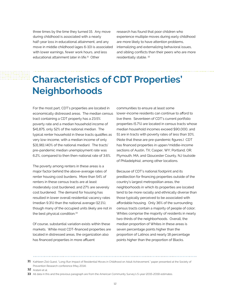three times by the time they turned 15. Any move during childhood is associated with a nearly half-year loss in educational attainment, and any move in middle childhood (ages 6-10) is associated with lower earnings, fewer work hours, and less educational attainment later in life.<sup>31</sup> Other

research has found that poor children who experience multiple moves during early childhood are more likely to have attention problems, internalizing and externalizing behavioral issues, and sibling conflicts than their peers who are more residentially stable. 32

## **Characteristics of CDT Properties' Neighborhoods**

For the most part, CDT's properties are located in economically distressed areas. The median census tract containing a CDT property has a 23.5% poverty rate and a median household income of \$41,875, only 52% of the national median. The typical renter household in these tracts qualifies as very low-income, with a median income of only \$31,961 (40% of the national median). The tracts' pre-pandemic median unemployment rate was 6.2%, compared to then then-national rate of 3.6%.

The poverty among renters in these areas is a major factor behind the above-average rates of renter housing cost burdens. More than 54% of renters in these census tracts are at least moderately cost burdened, and 27% are severely cost burdened. The demand for housing has resulted in lower overall residential vacancy rates (median 9.3%) than the national average (12.1%), though many of the occupied units likely are not in the best physical condition.<sup>33</sup>

Of course, substantial variation exists within these markets. While most CDT-financed properties are located in distressed areas, the organization also has financed properties in more affluent

communities to ensure at least some lower-income residents can continue to afford to live there. Seventeen of CDT's current portfolio properties (5.7%) are located in census tracts whose median household incomes exceed \$90,000, and 51 are in tracts with poverty rates of less than 10%. (Note that these are pre-pandemic figures.) CDT has financed properties in upper/middle-income sections of Austin, TX; Casper, WY; Portland, OR; Plymouth, MA; and Gloucester County, NJ (outside of Philadelphia), among other locations.

Because of CDT's national footprint and its predilection for financing properties outside of the country's largest metropolitan areas, the neighborhoods in which its properties are located tend to be more racially and ethnically diverse than those typically perceived to be associated with affordable housing. Only 36% of the surrounding census tracts contain a majority of people of color; Whites comprise the majority of residents in nearly two-thirds of the neighborhoods. Overall, the median proportion of Whites in these areas is seven percentage points higher than the proportion of Latinos and nearly 18 percentage points higher than the proportion of Blacks.

**32** Aratani et al.

**<sup>31</sup>** Kathleen Ziol-Guest, "Long-Run Impact of Residential Moves in Childhood on Adult Achievement," paper presented at the Society of Prevention Research conference (May 2014).

**<sup>33</sup>** All data in this and the previous paragraph are from the American Community Survey's 5-year (2015-2019) estimates.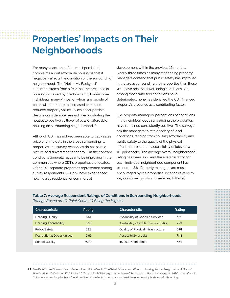### **Properties' Impacts on Their Neighborhoods**

For many years, one of the most persistent complaints about affordable housing is that it negatively affects the condition of the surrounding neighborhood. The "Not in My Backyard" sentiment stems from a fear that the presence of housing occupied by predominantly low-income individuals, many / most of whom are people of color, will contribute to increased crime and reduced property values. Such a fear persists despite considerable research demonstrating the neutral to positive spillover effects of affordable housing on surrounding neighborhoods.34

Although CDT has not yet been able to track sales price or crime data in the areas surrounding its properties, the survey responses do not paint a picture of disinvestment or decay. On the contrary, conditions generally appear to be improving in the communities where CDT's properties are located. Of the 143 separate properties represented among survey respondents, 56 (39%) have experienced new nearby residential or commercial

development within the previous 12 months. Nearly three times as many responding property managers contend that public safety has improved in the areas surrounding their properties than those who have observed worsening conditions. And among those who feel conditions have deteriorated, none has identified the CDT financed property's presence as a contributing factor.

The property managers' perceptions of conditions in the neighborhoods surrounding the properties have remained consistently positive. The surveys ask the managers to rate a variety of local conditions, ranging from housing affordability and public safety to the quality of the physical infrastructure and the accessibility of jobs, on a 10-point scale. The average overall neighborhood rating has been 6.92, and the average rating for each individual neighborhood component has exceeded 5.8. Property managers are most encouraged by the properties' location relative to key consumer goods and services, followed

#### **Table 7: Average Respondent Ratings of Conditions in Surrounding Neighborhoods** *Ratings Based on 10-Point Scale, 10 Being the Highest*

| Characteristic                    | Rating | Characteristic                        | Rating |
|-----------------------------------|--------|---------------------------------------|--------|
| <b>Housing Quality</b>            | 6.51   | Availability of Goods & Services      | 7.69   |
| Housing Affordability             | 5.83   | Availability of Public Transportation | 7.21   |
| Public Safety                     | 6.23   | Quality of Physical Infrastructure    | 6.91   |
| <b>Recreational Opportunities</b> | 6.61   | Accessibility of Jobs                 | 7.48   |
| School Quality                    | 6.90   | Investor Confidence                   | 7.63   |

**34** See Keri-Nicole Dillman, Keren Mertens Horn, & Ann Verilli, "The What, Where, and When of Housing Policy's Neighborhood Effects," *Housing Policy Debate* vol. 27, #2 (Mar. 2017), pp. 282-305 for a good summary of the research. Recent analyses of LIHTC price effects in Chicago and Los Angeles have found positive price effects in both low- and middle-income neighborhoods (forthcoming).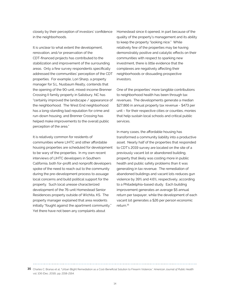closely by their perception of investors' confidence in the neighborhoods.

It is unclear to what extent the development, renovation, and/or preservation of the CDT-financed projects has contributed to the stabilization and improvement of the surrounding areas. Only a few survey respondents specifically addressed the communities' perception of the CDT properties. For example, Lori Sharp, a property manager for S.L. Nusbaum Realty, contends that the opening of the 90-unit, mixed-income Brenner Crossing II family property in Salisbury, NC has "certainly improved the landscape / appearance of the neighborhood. The West End neighborhood has a long-standing bad reputation for crime and run-down housing, and Brenner Crossing has helped make improvements to the overall public perception of the area."

It is relatively common for residents of communities where LIHTC and other affordable housing properties are scheduled for development to be wary of the properties. In my own recent interviews of LIHTC developers in Southern California, both for-profit and nonprofit developers spoke of the need to reach out to the community during the pre-development process to assuage local concerns and build political support for the property. Such local unease characterized development of the 76-unit Homestead Senior Residences property outside of Wichita, KS. The property manager explained that area residents initially "fought against the apartment community." Yet there have not been any complaints about

Homestead since it opened, in part because of the quality of the property's management and its ability to keep the property "looking nice." While relatively few of the properties may be having demonstrably positive and catalytic effects on their communities with respect to sparking new investment, there is little evidence that the complexes are negatively affecting their neighborhoods or dissuading prospective investors.

One of the properties' more tangible contributions to neighborhood health has been through tax revenues. The developments generate a median \$27,866 in annual property tax revenue - \$473 per unit – for their respective cities or counties, monies that help sustain local schools and critical public services.

In many cases, the affordable housing has transformed a community liability into a productive asset. Nearly half of the properties that responded to CDT's 2019 survey are located on the site of a previously vacant lot or abandoned building, property that likely was costing more in public health and public safety problems than it was generating in tax revenue. The remediation of abandoned buildings and vacant lots reduces gun violence by 39% and 4.6%, respectively, according to a Philadelphia-based study. Each building improvement generates an average \$5 annual return per taxpayer, while the development of each vacant lot generates a \$26 per person economic return.35

**35** Charles C. Branas et al, "Urban Blight Remediation as a Cost-Beneficial Solution to Firearm Violence," *American Journal of Public Health*  vol. 106 (Dec. 2016), pp. 2158-2164.